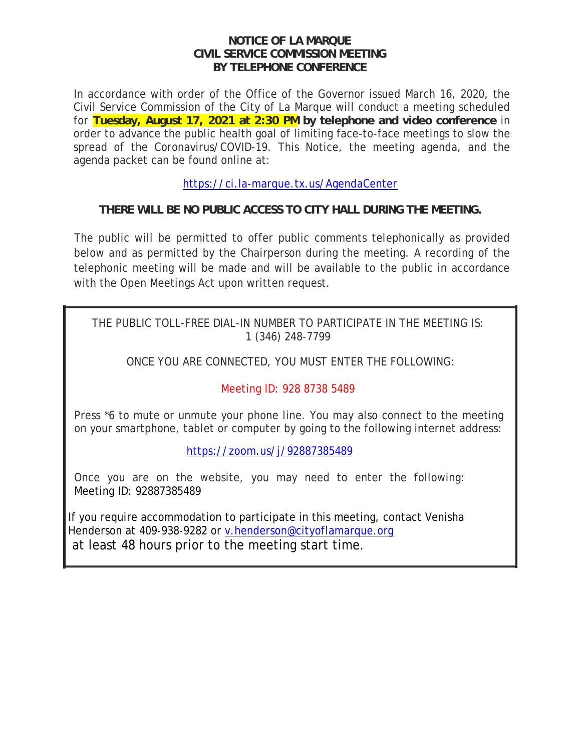#### **NOTICE OF LA MARQUE CIVIL SERVICE COMMISSION MEETING BY TELEPHONE CONFERENCE**

In accordance with order of the Office of the Governor issued March 16, 2020, the Civil Service Commission of the City of La Marque will conduct a meeting scheduled for **Tuesday, August 17, 2021 at 2:30 PM by telephone and video conference** in order to advance the public health goal of limiting face-to-face meetings to slow the spread of the Coronavirus/COVID-19. This Notice, the meeting agenda, and the agenda packet can be found online at:

https://ci.la-marque.tx.us/AgendaCenter

# **THERE WILL BE NO PUBLIC ACCESS TO CITY HALL DURING THE MEETING.**

The public will be permitted to offer public comments telephonically as provided below and as permitted by the Chairperson during the meeting. A recording of the telephonic meeting will be made and will be available to the public in accordance with the Open Meetings Act upon written request.

THE PUBLIC TOLL-FREE DIAL-IN NUMBER TO PARTICIPATE IN THE MEETING IS: 1 (346) 248-7799

ONCE YOU ARE CONNECTED, YOU MUST ENTER THE FOLLOWING:

# Meeting ID: 928 8738 5489

Press \*6 to mute or unmute your phone line. You may also connect to the meeting on your smartphone, tablet or computer by going to the following internet address:

https://zoom.us/j/92887385489

Once you are on the website, you may need to enter the following: Meeting ID: 92887385489

If you require accommodation to participate in this meeting, contact Venisha Henderson at 409-938-9282 or v.henderson@cityoflamarque.org at least 48 hours prior to the meeting start time.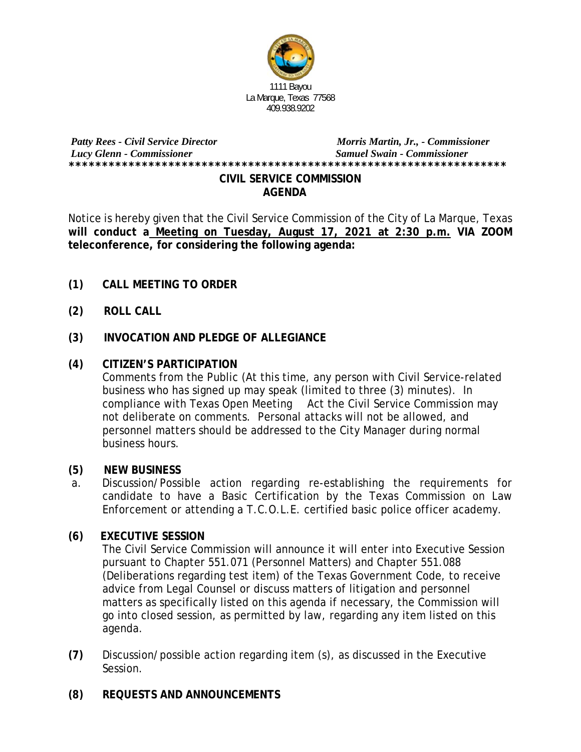

## *Patty Rees - Civil Service Director**Morris Martin, Jr., - Commissioner Lucy Glenn - Commissioner Samuel Swain - Commissioner* **\*\*\*\*\*\*\*\*\*\*\*\*\*\*\*\*\*\*\*\*\*\*\*\*\*\*\*\*\*\*\*\*\*\*\*\*\*\*\*\*\*\*\*\*\*\*\*\*\*\*\*\*\*\*\*\*\*\*\*\*\*\*\*\*\*\* CIVIL SERVICE COMMISSION**

 **AGENDA** 

Notice is hereby given that the Civil Service Commission of the City of La Marque, Texas **will conduct a Meeting on Tuesday, August 17, 2021 at 2:30 p.m. VIA ZOOM teleconference, for considering the following agenda:** 

- **(1) CALL MEETING TO ORDER**
- **(2) ROLL CALL**
- **(3) INVOCATION AND PLEDGE OF ALLEGIANCE**

## **(4) CITIZEN'S PARTICIPATION**

Comments from the Public (At this time, any person with Civil Service-related business who has signed up may speak (limited to three (3) minutes). In compliance with Texas Open Meeting Act the Civil Service Commission may not deliberate on comments. Personal attacks will not be allowed, and personnel matters should be addressed to the City Manager during normal business hours.

### **(5) NEW BUSINESS**

 a. Discussion/Possible action regarding re-establishing the requirements for candidate to have a Basic Certification by the Texas Commission on Law Enforcement or attending a T.C.O.L.E. certified basic police officer academy.

### **(6) EXECUTIVE SESSION**

The Civil Service Commission will announce it will enter into Executive Session pursuant to Chapter 551.071 (Personnel Matters) and Chapter 551.088 (Deliberations regarding test item) of the Texas Government Code, to receive advice from Legal Counsel or discuss matters of litigation and personnel matters as specifically listed on this agenda if necessary, the Commission will go into closed session, as permitted by law, regarding any item listed on this agenda.

- **(7)** Discussion/possible action regarding item (s), as discussed in the Executive Session.
- **(8) REQUESTS AND ANNOUNCEMENTS**